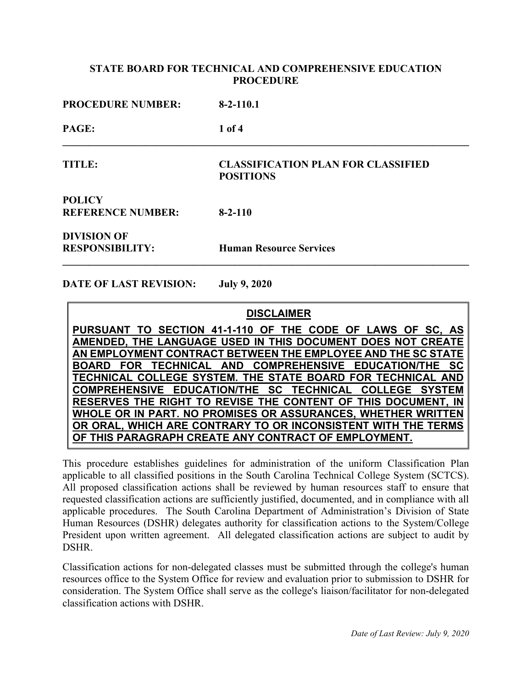| <b>PROCEDURE NUMBER:</b>                     | $8-2-110.1$                                                   |
|----------------------------------------------|---------------------------------------------------------------|
| PAGE:                                        | $1$ of 4                                                      |
| <b>TITLE:</b>                                | <b>CLASSIFICATION PLAN FOR CLASSIFIED</b><br><b>POSITIONS</b> |
| <b>POLICY</b><br><b>REFERENCE NUMBER:</b>    | $8 - 2 - 110$                                                 |
| <b>DIVISION OF</b><br><b>RESPONSIBILITY:</b> | <b>Human Resource Services</b>                                |

**DATE OF LAST REVISION: July 9, 2020**

# **DISCLAIMER**

**PURSUANT TO SECTION 41-1-110 OF THE CODE OF LAWS OF SC, AS AMENDED, THE LANGUAGE USED IN THIS DOCUMENT DOES NOT CREATE AN EMPLOYMENT CONTRACT BETWEEN THE EMPLOYEE AND THE SC STATE**  BOARD FOR TECHNICAL AND COMPREHENSIVE EDUCATION/THE **TECHNICAL COLLEGE SYSTEM. THE STATE BOARD FOR TECHNICAL AND COMPREHENSIVE EDUCATION/THE SC TECHNICAL COLLEGE SYSTEM RESERVES THE RIGHT TO REVISE THE CONTENT OF THIS DOCUMENT, IN WHOLE OR IN PART. NO PROMISES OR ASSURANCES, WHETHER WRITTEN OR ORAL, WHICH ARE CONTRARY TO OR INCONSISTENT WITH THE TERMS OF THIS PARAGRAPH CREATE ANY CONTRACT OF EMPLOYMENT.**

This procedure establishes guidelines for administration of the uniform Classification Plan applicable to all classified positions in the South Carolina Technical College System (SCTCS). All proposed classification actions shall be reviewed by human resources staff to ensure that requested classification actions are sufficiently justified, documented, and in compliance with all applicable procedures. The South Carolina Department of Administration's Division of State Human Resources (DSHR) delegates authority for classification actions to the System/College President upon written agreement. All delegated classification actions are subject to audit by DSHR.

Classification actions for non-delegated classes must be submitted through the college's human resources office to the System Office for review and evaluation prior to submission to DSHR for consideration. The System Office shall serve as the college's liaison/facilitator for non-delegated classification actions with DSHR.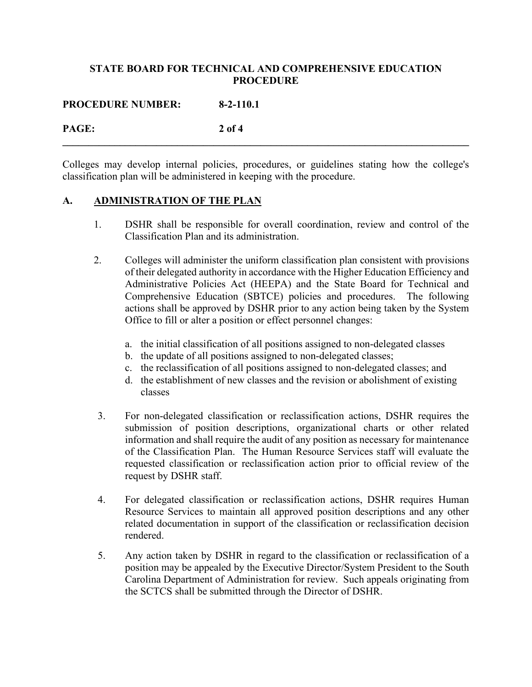**PROCEDURE NUMBER: 8-2-110.1**

# **PAGE: 2 of 4**

Colleges may develop internal policies, procedures, or guidelines stating how the college's classification plan will be administered in keeping with the procedure.

**\_\_\_\_\_\_\_\_\_\_\_\_\_\_\_\_\_\_\_\_\_\_\_\_\_\_\_\_\_\_\_\_\_\_\_\_\_\_\_\_\_\_\_\_\_\_\_\_\_\_\_\_\_\_\_\_\_\_\_\_\_\_\_\_\_\_\_\_\_\_\_\_\_\_\_\_\_\_**

## **A. ADMINISTRATION OF THE PLAN**

- 1. DSHR shall be responsible for overall coordination, review and control of the Classification Plan and its administration.
- 2. Colleges will administer the uniform classification plan consistent with provisions of their delegated authority in accordance with the Higher Education Efficiency and Administrative Policies Act (HEEPA) and the State Board for Technical and Comprehensive Education (SBTCE) policies and procedures. The following actions shall be approved by DSHR prior to any action being taken by the System Office to fill or alter a position or effect personnel changes:
	- a. the initial classification of all positions assigned to non-delegated classes
	- b. the update of all positions assigned to non-delegated classes;
	- c. the reclassification of all positions assigned to non-delegated classes; and
	- d. the establishment of new classes and the revision or abolishment of existing classes
- 3. For non-delegated classification or reclassification actions, DSHR requires the submission of position descriptions, organizational charts or other related information and shall require the audit of any position as necessary for maintenance of the Classification Plan. The Human Resource Services staff will evaluate the requested classification or reclassification action prior to official review of the request by DSHR staff.
- 4. For delegated classification or reclassification actions, DSHR requires Human Resource Services to maintain all approved position descriptions and any other related documentation in support of the classification or reclassification decision rendered.
- 5. Any action taken by DSHR in regard to the classification or reclassification of a position may be appealed by the Executive Director/System President to the South Carolina Department of Administration for review. Such appeals originating from the SCTCS shall be submitted through the Director of DSHR.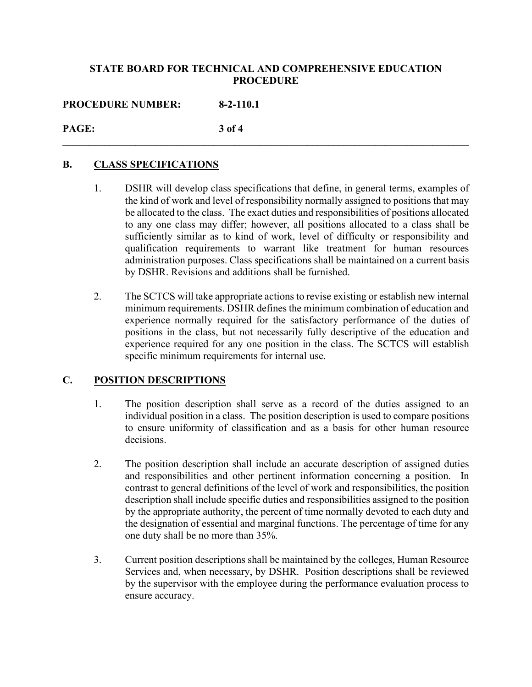**PROCEDURE NUMBER: 8-2-110.1**

### **PAGE: 3 of 4 \_\_\_\_\_\_\_\_\_\_\_\_\_\_\_\_\_\_\_\_\_\_\_\_\_\_\_\_\_\_\_\_\_\_\_\_\_\_\_\_\_\_\_\_\_\_\_\_\_\_\_\_\_\_\_\_\_\_\_\_\_\_\_\_\_\_\_\_\_\_\_\_\_\_\_\_\_\_**

## **B. CLASS SPECIFICATIONS**

- 1. DSHR will develop class specifications that define, in general terms, examples of the kind of work and level of responsibility normally assigned to positions that may be allocated to the class. The exact duties and responsibilities of positions allocated to any one class may differ; however, all positions allocated to a class shall be sufficiently similar as to kind of work, level of difficulty or responsibility and qualification requirements to warrant like treatment for human resources administration purposes. Class specifications shall be maintained on a current basis by DSHR. Revisions and additions shall be furnished.
- 2. The SCTCS will take appropriate actions to revise existing or establish new internal minimum requirements. DSHR defines the minimum combination of education and experience normally required for the satisfactory performance of the duties of positions in the class, but not necessarily fully descriptive of the education and experience required for any one position in the class. The SCTCS will establish specific minimum requirements for internal use.

## **C. POSITION DESCRIPTIONS**

- 1. The position description shall serve as a record of the duties assigned to an individual position in a class. The position description is used to compare positions to ensure uniformity of classification and as a basis for other human resource decisions.
- 2. The position description shall include an accurate description of assigned duties and responsibilities and other pertinent information concerning a position. In contrast to general definitions of the level of work and responsibilities, the position description shall include specific duties and responsibilities assigned to the position by the appropriate authority, the percent of time normally devoted to each duty and the designation of essential and marginal functions. The percentage of time for any one duty shall be no more than 35%.
- 3. Current position descriptions shall be maintained by the colleges, Human Resource Services and, when necessary, by DSHR. Position descriptions shall be reviewed by the supervisor with the employee during the performance evaluation process to ensure accuracy.